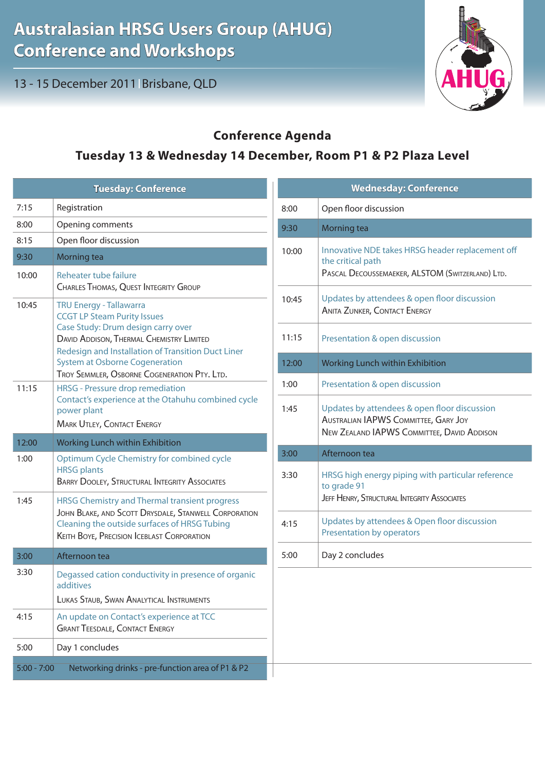13 - 15 December 2011 Brisbane, QLD



## **Conference Agenda**

## **Tuesday 13 & Wednesday 14 December, Room P1 & P2 Plaza Level**

| <b>Tuesday: Conference</b> |                                                                                                                          | <b>Wednesday: Conference</b> |                                                                                     |
|----------------------------|--------------------------------------------------------------------------------------------------------------------------|------------------------------|-------------------------------------------------------------------------------------|
| 7:15                       | Registration                                                                                                             | 8:00                         | Open floor discussion                                                               |
| 8:00                       | Opening comments                                                                                                         | 9:30                         | Morning tea                                                                         |
| 8:15                       | Open floor discussion                                                                                                    |                              | Innovative NDE takes HRSG header replacement off                                    |
| 9:30                       | Morning tea                                                                                                              | 10:00                        | the critical path                                                                   |
| 10:00                      | Reheater tube failure                                                                                                    |                              | PASCAL DECOUSSEMAEKER, ALSTOM (SWITZERLAND) LTD.                                    |
|                            | <b>CHARLES THOMAS, QUEST INTEGRITY GROUP</b>                                                                             | 10:45                        | Updates by attendees & open floor discussion<br><b>ANITA ZUNKER, CONTACT ENERGY</b> |
| 10:45                      | <b>TRU Energy - Tallawarra</b><br><b>CCGT LP Steam Purity Issues</b>                                                     |                              |                                                                                     |
|                            | Case Study: Drum design carry over                                                                                       |                              |                                                                                     |
|                            | DAVID ADDISON, THERMAL CHEMISTRY LIMITED<br>Redesign and Installation of Transition Duct Liner                           | 11:15                        | Presentation & open discussion                                                      |
|                            | <b>System at Osborne Cogeneration</b>                                                                                    | 12:00                        | Working Lunch within Exhibition                                                     |
| 11:15                      | TROY SEMMLER, OSBORNE COGENERATION PTY. LTD.<br><b>HRSG</b> - Pressure drop remediation                                  | 1:00                         | Presentation & open discussion                                                      |
|                            | Contact's experience at the Otahuhu combined cycle                                                                       | 1:45                         | Updates by attendees & open floor discussion                                        |
|                            | power plant<br><b>MARK UTLEY, CONTACT ENERGY</b>                                                                         |                              | <b>AUSTRALIAN IAPWS COMMITTEE, GARY JOY</b>                                         |
|                            |                                                                                                                          |                              | NEW ZEALAND IAPWS COMMITTEE, DAVID ADDISON                                          |
|                            |                                                                                                                          |                              |                                                                                     |
| 12:00                      | Working Lunch within Exhibition                                                                                          | 3:00                         | Afternoon tea                                                                       |
| 1:00                       | Optimum Cycle Chemistry for combined cycle<br><b>HRSG</b> plants<br><b>BARRY DOOLEY, STRUCTURAL INTEGRITY ASSOCIATES</b> | 3:30                         | HRSG high energy piping with particular reference                                   |
| 1:45                       | HRSG Chemistry and Thermal transient progress                                                                            |                              | to grade 91<br>JEFF HENRY, STRUCTURAL INTEGRITY ASSOCIATES                          |
|                            | JOHN BLAKE, AND SCOTT DRYSDALE, STANWELL CORPORATION                                                                     |                              |                                                                                     |
|                            | Cleaning the outside surfaces of HRSG Tubing<br><b>KEITH BOYE, PRECISION ICEBLAST CORPORATION</b>                        | 4:15                         | Updates by attendees & Open floor discussion<br>Presentation by operators           |
| 3:00                       | Afternoon tea                                                                                                            | 5:00                         | Day 2 concludes                                                                     |
| 3:30                       | Degassed cation conductivity in presence of organic                                                                      |                              |                                                                                     |
|                            | additives                                                                                                                |                              |                                                                                     |
| 4:15                       | LUKAS STAUB, SWAN ANALYTICAL INSTRUMENTS<br>An update on Contact's experience at TCC                                     |                              |                                                                                     |
|                            | <b>GRANT TEESDALE, CONTACT ENERGY</b>                                                                                    |                              |                                                                                     |
| 5:00                       | Day 1 concludes                                                                                                          |                              |                                                                                     |
| $5:00 - 7:00$              | Networking drinks - pre-function area of P1 & P2                                                                         |                              |                                                                                     |